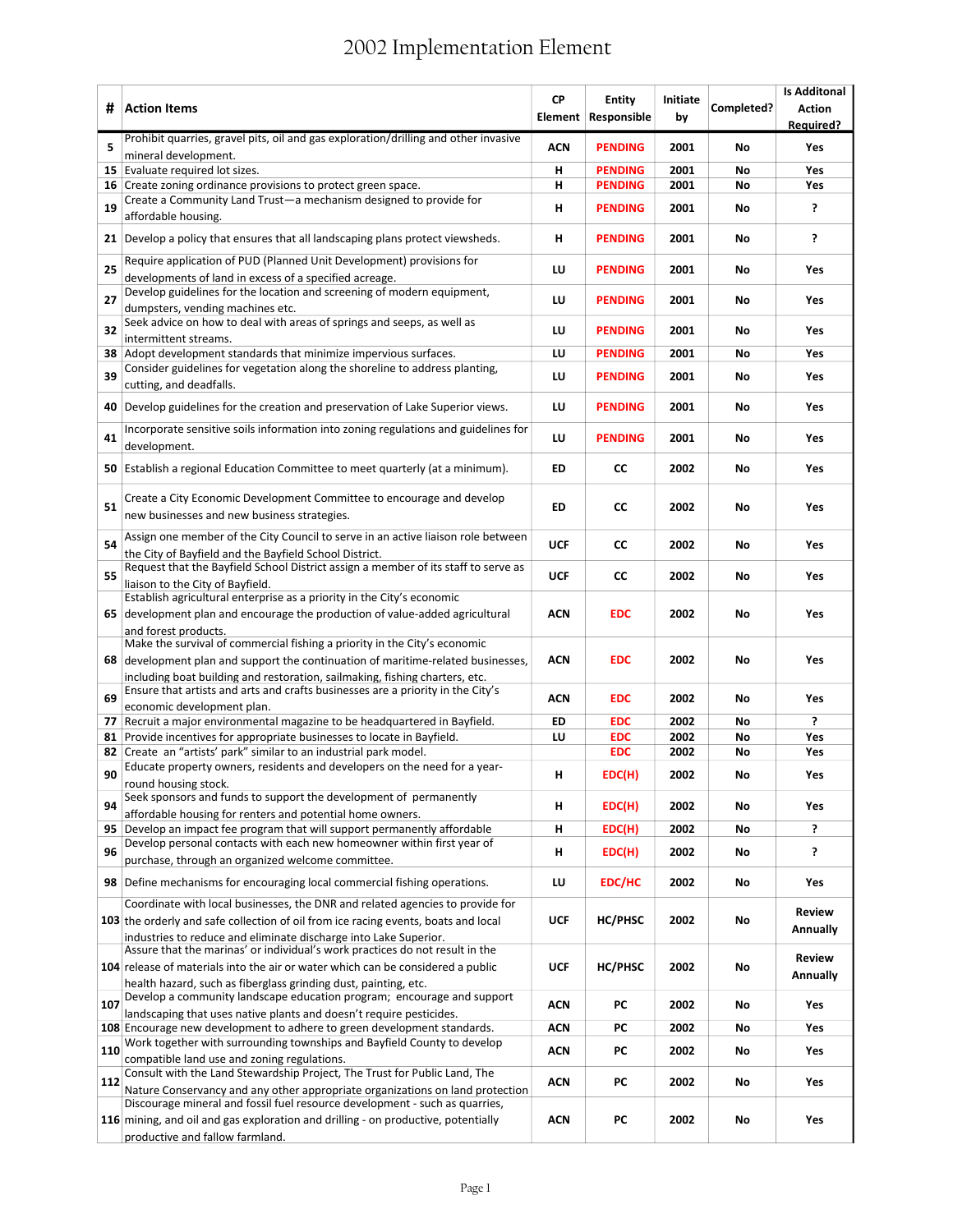## 2002 Implementation Element

| #   | <b>Action Items</b>                                                                                                                                            | <b>CP</b>  | <b>Entity</b><br>Element Responsible | Initiate<br>by | Completed? | <b>Is Additonal</b><br><b>Action</b><br><b>Required?</b> |
|-----|----------------------------------------------------------------------------------------------------------------------------------------------------------------|------------|--------------------------------------|----------------|------------|----------------------------------------------------------|
| 5   | Prohibit quarries, gravel pits, oil and gas exploration/drilling and other invasive                                                                            | <b>ACN</b> | <b>PENDING</b>                       | 2001           | No         | Yes                                                      |
| 15  | mineral development.<br>Evaluate required lot sizes.                                                                                                           | н          | <b>PENDING</b>                       | 2001           | No         | Yes                                                      |
|     | 16 Create zoning ordinance provisions to protect green space.                                                                                                  | н          | <b>PENDING</b>                       | 2001           | No         | Yes                                                      |
|     | Create a Community Land Trust-a mechanism designed to provide for                                                                                              |            |                                      |                |            | ?                                                        |
| 19  | affordable housing.                                                                                                                                            | н          | <b>PENDING</b>                       | 2001           | No         |                                                          |
|     | 21 Develop a policy that ensures that all landscaping plans protect viewsheds.                                                                                 | н          | <b>PENDING</b>                       | 2001           | No         | 5                                                        |
|     | Require application of PUD (Planned Unit Development) provisions for                                                                                           | LU         |                                      | 2001           |            | Yes                                                      |
| 25  | developments of land in excess of a specified acreage.                                                                                                         |            | <b>PENDING</b>                       |                | No         |                                                          |
| 27  | Develop guidelines for the location and screening of modern equipment,                                                                                         | LU         | <b>PENDING</b>                       | 2001           | No         | Yes                                                      |
|     | dumpsters, vending machines etc.<br>Seek advice on how to deal with areas of springs and seeps, as well as                                                     |            |                                      |                |            |                                                          |
| 32  | intermittent streams.                                                                                                                                          | LU         | <b>PENDING</b>                       | 2001           | No         | Yes                                                      |
|     | 38 Adopt development standards that minimize impervious surfaces.                                                                                              | LU         | <b>PENDING</b>                       | 2001           | No         | Yes                                                      |
| 39  | Consider guidelines for vegetation along the shoreline to address planting,                                                                                    | LU         | <b>PENDING</b>                       | 2001           | No         | Yes                                                      |
|     | cutting, and deadfalls.                                                                                                                                        |            |                                      |                |            |                                                          |
|     | 40 Develop guidelines for the creation and preservation of Lake Superior views.                                                                                | LU         | <b>PENDING</b>                       | 2001           | No         | Yes                                                      |
| 41  | Incorporate sensitive soils information into zoning regulations and guidelines for<br>development.                                                             | LU         | <b>PENDING</b>                       | 2001           | No         | Yes                                                      |
| 50  | Establish a regional Education Committee to meet quarterly (at a minimum).                                                                                     | <b>ED</b>  | <b>CC</b>                            | 2002           | No         | Yes                                                      |
|     |                                                                                                                                                                |            |                                      |                |            |                                                          |
| 51  | Create a City Economic Development Committee to encourage and develop<br>new businesses and new business strategies.                                           | ED         | <b>CC</b>                            | 2002           | No         | Yes                                                      |
| 54  | Assign one member of the City Council to serve in an active liaison role between                                                                               | <b>UCF</b> | CC                                   | 2002           | No         | Yes                                                      |
|     | the City of Bayfield and the Bayfield School District.                                                                                                         |            |                                      |                |            |                                                          |
| 55  | Request that the Bayfield School District assign a member of its staff to serve as                                                                             | <b>UCF</b> | <b>CC</b>                            | 2002           | No         | Yes                                                      |
|     | liaison to the City of Bayfield.<br>Establish agricultural enterprise as a priority in the City's economic                                                     |            |                                      |                |            |                                                          |
|     | 65 development plan and encourage the production of value-added agricultural                                                                                   | <b>ACN</b> | <b>EDC</b>                           | 2002           | No         | Yes                                                      |
|     | and forest products.                                                                                                                                           |            |                                      |                |            |                                                          |
|     | Make the survival of commercial fishing a priority in the City's economic                                                                                      |            |                                      |                |            |                                                          |
|     | 68 development plan and support the continuation of maritime-related businesses,                                                                               | <b>ACN</b> | <b>EDC</b>                           | 2002           | No         | Yes                                                      |
|     | including boat building and restoration, sailmaking, fishing charters, etc.<br>Ensure that artists and arts and crafts businesses are a priority in the City's |            |                                      |                |            |                                                          |
| 69  | economic development plan.                                                                                                                                     | <b>ACN</b> | <b>EDC</b>                           | 2002           | No         | Yes                                                      |
| 77  | Recruit a major environmental magazine to be headquartered in Bayfield.                                                                                        | ED         | <b>EDC</b>                           | 2002           | No         | <sup>2</sup>                                             |
| 81  | Provide incentives for appropriate businesses to locate in Bayfield.                                                                                           | LU         | <b>EDC</b>                           | 2002           | No         | Yes                                                      |
| 82  | Create an "artists' park" similar to an industrial park model.<br>Educate property owners, residents and developers on the need for a year-                    |            | <b>EDC</b>                           | 2002           | No         | Yes                                                      |
| 90  | round housing stock.                                                                                                                                           | н          | EDC(H)                               | 2002           | No         | Yes                                                      |
| 94  | Seek sponsors and funds to support the development of permanently                                                                                              | н          | EDC(H)                               | 2002           | No         | Yes                                                      |
| 95  | affordable housing for renters and potential home owners.<br>Develop an impact fee program that will support permanently affordable                            | н          | EDC(H)                               | 2002           | No         | ç.                                                       |
|     | Develop personal contacts with each new homeowner within first year of                                                                                         |            |                                      |                |            |                                                          |
| 96  | purchase, through an organized welcome committee.                                                                                                              | н          | EDC(H)                               | 2002           | No         | <sup>2</sup>                                             |
|     | <b>98</b> Define mechanisms for encouraging local commercial fishing operations.                                                                               | LU         | EDC/HC                               | 2002           | No         | Yes                                                      |
|     | Coordinate with local businesses, the DNR and related agencies to provide for                                                                                  |            |                                      |                |            | <b>Review</b>                                            |
|     | 103 the orderly and safe collection of oil from ice racing events, boats and local                                                                             | <b>UCF</b> | HC/PHSC                              | 2002           | No         | Annually                                                 |
|     | industries to reduce and eliminate discharge into Lake Superior.<br>Assure that the marinas' or individual's work practices do not result in the               |            |                                      |                |            |                                                          |
|     | 104 release of materials into the air or water which can be considered a public                                                                                | UCF        | HC/PHSC                              | 2002           | No         | <b>Review</b>                                            |
|     | health hazard, such as fiberglass grinding dust, painting, etc.                                                                                                |            |                                      |                |            | Annually                                                 |
| 107 | Develop a community landscape education program; encourage and support                                                                                         | <b>ACN</b> | PC                                   | 2002           | No         | Yes                                                      |
|     | landscaping that uses native plants and doesn't require pesticides.                                                                                            |            |                                      |                |            |                                                          |
|     | 108 Encourage new development to adhere to green development standards.<br>Work together with surrounding townships and Bayfield County to develop             | <b>ACN</b> | PC                                   | 2002           | No         | Yes                                                      |
| 110 | compatible land use and zoning regulations.                                                                                                                    | <b>ACN</b> | PC                                   | 2002           | No         | Yes                                                      |
|     | Consult with the Land Stewardship Project, The Trust for Public Land, The                                                                                      |            |                                      |                |            |                                                          |
| 112 | Nature Conservancy and any other appropriate organizations on land protection                                                                                  | <b>ACN</b> | PC                                   | 2002           | No         | Yes                                                      |
|     | Discourage mineral and fossil fuel resource development - such as quarries,                                                                                    |            |                                      |                |            |                                                          |
|     | 116 mining, and oil and gas exploration and drilling - on productive, potentially                                                                              | <b>ACN</b> | PC                                   | 2002           | No         | Yes                                                      |
|     | productive and fallow farmland.                                                                                                                                |            |                                      |                |            |                                                          |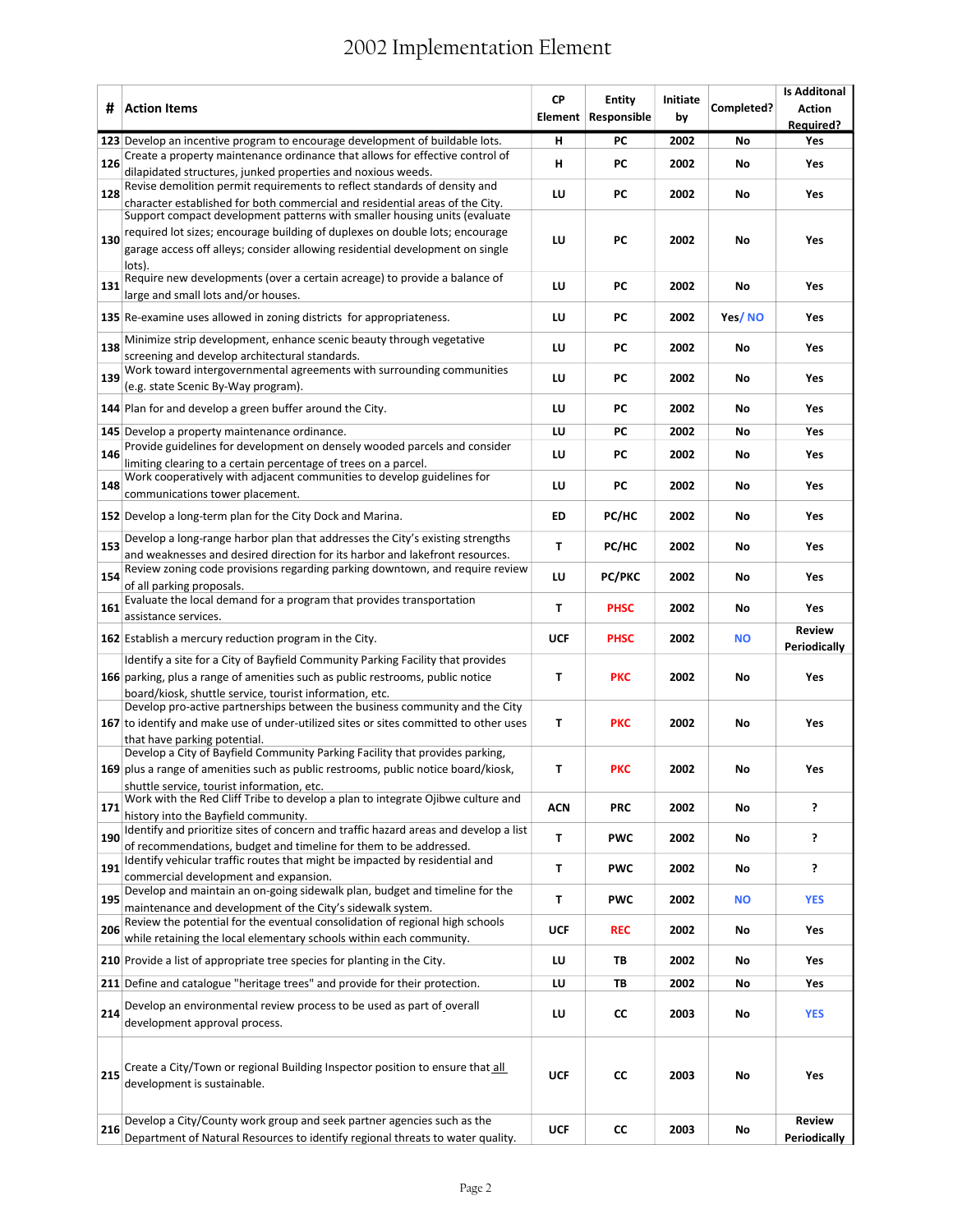## 2002 Implementation Element

| #   | <b>Action Items</b>                                                                                                                                                                                                                                             | <b>CP</b>  | <b>Entity</b><br>Element Responsible | Initiate<br>by | Completed? | <b>Is Additonal</b><br><b>Action</b><br><b>Required?</b> |
|-----|-----------------------------------------------------------------------------------------------------------------------------------------------------------------------------------------------------------------------------------------------------------------|------------|--------------------------------------|----------------|------------|----------------------------------------------------------|
|     | 123 Develop an incentive program to encourage development of buildable lots.                                                                                                                                                                                    | н          | PC                                   | 2002           | No         | Yes                                                      |
| 126 | Create a property maintenance ordinance that allows for effective control of<br>dilapidated structures, junked properties and noxious weeds.                                                                                                                    | н          | PC                                   | 2002           | No         | Yes                                                      |
| 128 | Revise demolition permit requirements to reflect standards of density and<br>character established for both commercial and residential areas of the City.                                                                                                       | LU         | <b>PC</b>                            | 2002           | No         | Yes                                                      |
| 130 | Support compact development patterns with smaller housing units (evaluate<br>required lot sizes; encourage building of duplexes on double lots; encourage<br>garage access off alleys; consider allowing residential development on single<br>lots).            | LU         | PC                                   | 2002           | No         | Yes                                                      |
| 131 | Require new developments (over a certain acreage) to provide a balance of<br>large and small lots and/or houses.                                                                                                                                                | LU         | <b>PC</b>                            | 2002           | No         | Yes                                                      |
|     | 135 Re-examine uses allowed in zoning districts for appropriateness.                                                                                                                                                                                            | LU         | PC                                   | 2002           | Yes/NO     | Yes                                                      |
| 138 | Minimize strip development, enhance scenic beauty through vegetative<br>screening and develop architectural standards.                                                                                                                                          | LU         | <b>PC</b>                            | 2002           | No         | Yes                                                      |
| 139 | Work toward intergovernmental agreements with surrounding communities<br>(e.g. state Scenic By-Way program).                                                                                                                                                    | LU         | PC                                   | 2002           | No         | Yes                                                      |
|     | 144 Plan for and develop a green buffer around the City.                                                                                                                                                                                                        | LU         | <b>PC</b>                            | 2002           | No         | Yes                                                      |
|     | 145 Develop a property maintenance ordinance.                                                                                                                                                                                                                   | LU         | <b>PC</b>                            | 2002           | No         | Yes                                                      |
| 146 | Provide guidelines for development on densely wooded parcels and consider<br>limiting clearing to a certain percentage of trees on a parcel.                                                                                                                    | LU         | PC                                   | 2002           | No         | Yes                                                      |
| 148 | Work cooperatively with adjacent communities to develop guidelines for<br>communications tower placement.                                                                                                                                                       | LU         | PC                                   | 2002           | No         | Yes                                                      |
|     | 152 Develop a long-term plan for the City Dock and Marina.                                                                                                                                                                                                      | <b>ED</b>  | PC/HC                                | 2002           | No         | Yes                                                      |
| 153 | Develop a long-range harbor plan that addresses the City's existing strengths<br>and weaknesses and desired direction for its harbor and lakefront resources.                                                                                                   | T          | PC/HC                                | 2002           | No         | Yes                                                      |
| 154 | Review zoning code provisions regarding parking downtown, and require review<br>of all parking proposals.                                                                                                                                                       | LU         | <b>PC/PKC</b>                        | 2002           | No         | Yes                                                      |
| 161 | Evaluate the local demand for a program that provides transportation<br>assistance services.                                                                                                                                                                    | T          | <b>PHSC</b>                          | 2002           | No         | Yes                                                      |
|     | <b>162</b> Establish a mercury reduction program in the City.                                                                                                                                                                                                   | UCF        | <b>PHSC</b>                          | 2002           | <b>NO</b>  | <b>Review</b><br>Periodically                            |
|     | Identify a site for a City of Bayfield Community Parking Facility that provides<br>166 parking, plus a range of amenities such as public restrooms, public notice                                                                                               | T          | <b>PKC</b>                           | 2002           | No         | Yes                                                      |
|     | board/kiosk, shuttle service, tourist information, etc.<br>Develop pro-active partnerships between the business community and the City<br>167 to identify and make use of under-utilized sites or sites committed to other uses<br>that have parking potential. | т          | <b>PKC</b>                           | 2002           | No         | Yes                                                      |
|     | Develop a City of Bayfield Community Parking Facility that provides parking,<br>169 plus a range of amenities such as public restrooms, public notice board/kiosk,<br>shuttle service, tourist information, etc.                                                | T          | <b>PKC</b>                           | 2002           | No         | Yes                                                      |
| 171 | Work with the Red Cliff Tribe to develop a plan to integrate Ojibwe culture and<br>history into the Bayfield community.                                                                                                                                         | <b>ACN</b> | <b>PRC</b>                           | 2002           | No         | <sup>2</sup>                                             |
| 190 | Identify and prioritize sites of concern and traffic hazard areas and develop a list<br>of recommendations, budget and timeline for them to be addressed.                                                                                                       | T          | <b>PWC</b>                           | 2002           | No         | <sup>2</sup>                                             |
| 191 | Identify vehicular traffic routes that might be impacted by residential and<br>commercial development and expansion.                                                                                                                                            | T          | <b>PWC</b>                           | 2002           | No         | <sup>2</sup>                                             |
| 195 | Develop and maintain an on-going sidewalk plan, budget and timeline for the<br>maintenance and development of the City's sidewalk system.                                                                                                                       | т          | <b>PWC</b>                           | 2002           | <b>NO</b>  | <b>YES</b>                                               |
| 206 | Review the potential for the eventual consolidation of regional high schools<br>while retaining the local elementary schools within each community.                                                                                                             | <b>UCF</b> | <b>REC</b>                           | 2002           | No         | Yes                                                      |
|     | 210 Provide a list of appropriate tree species for planting in the City.                                                                                                                                                                                        | LU         | TВ                                   | 2002           | No         | Yes                                                      |
|     | 211 Define and catalogue "heritage trees" and provide for their protection.                                                                                                                                                                                     | LU         | TВ                                   | 2002           | No         | Yes                                                      |
| 214 | Develop an environmental review process to be used as part of overall<br>development approval process.                                                                                                                                                          | LU         | СC                                   | 2003           | No         | <b>YES</b>                                               |
| 215 | Create a City/Town or regional Building Inspector position to ensure that all<br>development is sustainable.                                                                                                                                                    | <b>UCF</b> | СC                                   | 2003           | No         | Yes                                                      |
| 216 | Develop a City/County work group and seek partner agencies such as the<br>Department of Natural Resources to identify regional threats to water quality.                                                                                                        | <b>UCF</b> | <b>CC</b>                            | 2003           | No         | <b>Review</b><br>Periodically                            |